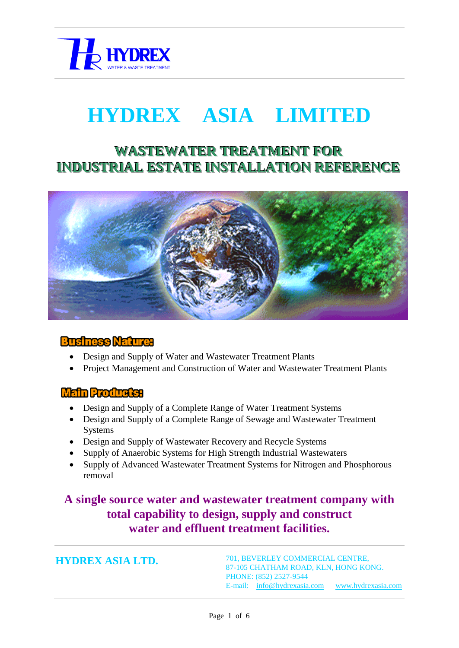

# **HYDREX ASIA LIMITED**

## **WASTEWATER TREATMENT FOR INDUSTRIAL ESTATE INSTALLATION REFERENCE**



#### **Business Nature:**

- Design and Supply of Water and Wastewater Treatment Plants
- Project Management and Construction of Water and Wastewater Treatment Plants

#### **Main Products:**

- Design and Supply of a Complete Range of Water Treatment Systems
- Design and Supply of a Complete Range of Sewage and Wastewater Treatment Systems
- Design and Supply of Wastewater Recovery and Recycle Systems
- Supply of Anaerobic Systems for High Strength Industrial Wastewaters
- Supply of Advanced Wastewater Treatment Systems for Nitrogen and Phosphorous removal

### **A single source water and wastewater treatment company with total capability to design, supply and construct water and effluent treatment facilities.**

**HYDREX ASIA LTD.**

701, BEVERLEY COMMERCIAL CENTRE, 87-105 CHATHAM ROAD, KLN, HONG KONG. PHONE: (852) 2527-9544 E-mail: [info@hydrexasia.com](mailto:info@hydrexasia.com) [www.hydrexasia.com](http://www.hydrexasia.com/)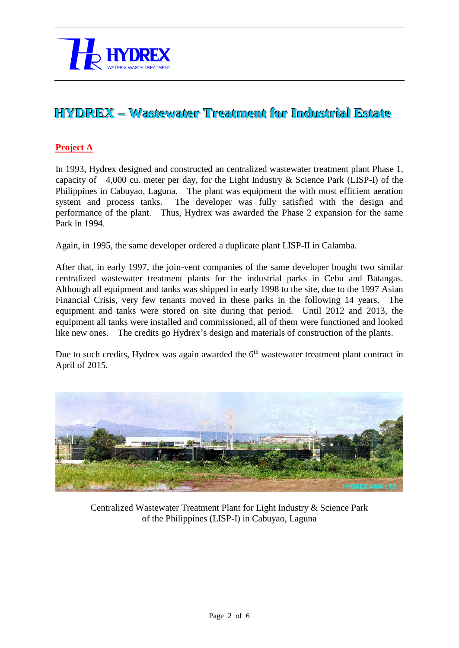

## **HYDREX –– Wastewater Treatment for Industrial Estate**

#### **Project A**

In 1993, Hydrex designed and constructed an centralized wastewater treatment plant Phase 1, capacity of 4,000 cu. meter per day, for the Light Industry & Science Park (LISP-I) of the Philippines in Cabuyao, Laguna. The plant was equipment the with most efficient aeration system and process tanks. The developer was fully satisfied with the design and performance of the plant. Thus, Hydrex was awarded the Phase 2 expansion for the same Park in 1994.

Again, in 1995, the same developer ordered a duplicate plant LISP-II in Calamba.

After that, in early 1997, the join-vent companies of the same developer bought two similar centralized wastewater treatment plants for the industrial parks in Cebu and Batangas. Although all equipment and tanks was shipped in early 1998 to the site, due to the 1997 Asian Financial Crisis, very few tenants moved in these parks in the following 14 years. The equipment and tanks were stored on site during that period. Until 2012 and 2013, the equipment all tanks were installed and commissioned, all of them were functioned and looked like new ones. The credits go Hydrex's design and materials of construction of the plants.

Due to such credits, Hydrex was again awarded the  $6<sup>th</sup>$  wastewater treatment plant contract in April of 2015.



Centralized Wastewater Treatment Plant for Light Industry & Science Park of the Philippines (LISP-I) in Cabuyao, Laguna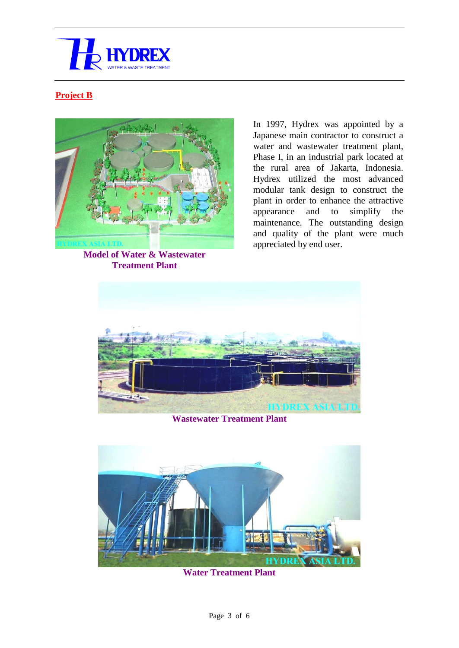

#### **Project B**



**Model of Water & Wastewater Treatment Plant**

In 1997, Hydrex was appointed by a Japanese main contractor to construct a water and wastewater treatment plant, Phase I, in an industrial park located at the rural area of Jakarta, Indonesia. Hydrex utilized the most advanced modular tank design to construct the plant in order to enhance the attractive appearance and to simplify the maintenance. The outstanding design and quality of the plant were much appreciated by end user.



**Wastewater Treatment Plant**



**Water Treatment Plant**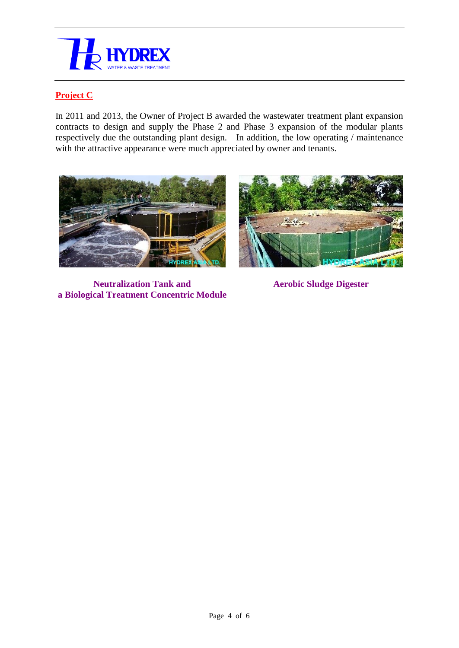

#### **Project C**

In 2011 and 2013, the Owner of Project B awarded the wastewater treatment plant expansion contracts to design and supply the Phase 2 and Phase 3 expansion of the modular plants respectively due the outstanding plant design. In addition, the low operating / maintenance with the attractive appearance were much appreciated by owner and tenants.



**Neutralization Tank and a Biological Treatment Concentric Module**



**Aerobic Sludge Digester**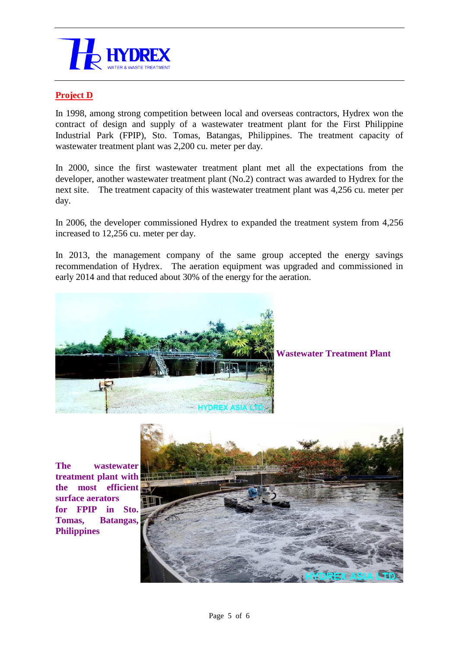

#### **Project D**

In 1998, among strong competition between local and overseas contractors, Hydrex won the contract of design and supply of a wastewater treatment plant for the First Philippine Industrial Park (FPIP), Sto. Tomas, Batangas, Philippines. The treatment capacity of wastewater treatment plant was 2,200 cu. meter per day.

In 2000, since the first wastewater treatment plant met all the expectations from the developer, another wastewater treatment plant (No.2) contract was awarded to Hydrex for the next site. The treatment capacity of this wastewater treatment plant was 4,256 cu. meter per day.

In 2006, the developer commissioned Hydrex to expanded the treatment system from 4,256 increased to 12,256 cu. meter per day.

In 2013, the management company of the same group accepted the energy savings recommendation of Hydrex. The aeration equipment was upgraded and commissioned in early 2014 and that reduced about 30% of the energy for the aeration.



**Wastewater Treatment Plant**

**The wastewater treatment plant with the most efficient surface aerators for FPIP in Sto. Tomas, Batangas, Philippines**